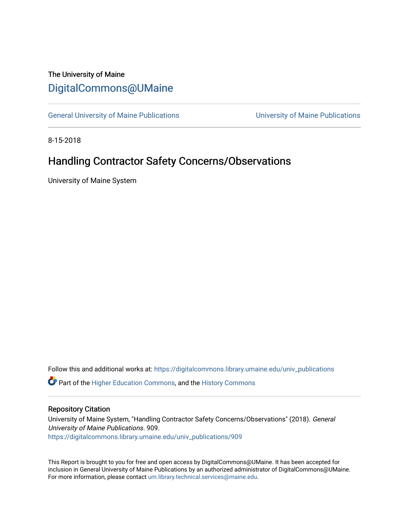# The University of Maine [DigitalCommons@UMaine](https://digitalcommons.library.umaine.edu/)

[General University of Maine Publications](https://digitalcommons.library.umaine.edu/univ_publications) [University of Maine Publications](https://digitalcommons.library.umaine.edu/umaine_publications) 

8-15-2018

# Handling Contractor Safety Concerns/Observations

University of Maine System

Follow this and additional works at: [https://digitalcommons.library.umaine.edu/univ\\_publications](https://digitalcommons.library.umaine.edu/univ_publications?utm_source=digitalcommons.library.umaine.edu%2Funiv_publications%2F909&utm_medium=PDF&utm_campaign=PDFCoverPages) 

**C** Part of the [Higher Education Commons,](http://network.bepress.com/hgg/discipline/1245?utm_source=digitalcommons.library.umaine.edu%2Funiv_publications%2F909&utm_medium=PDF&utm_campaign=PDFCoverPages) and the [History Commons](http://network.bepress.com/hgg/discipline/489?utm_source=digitalcommons.library.umaine.edu%2Funiv_publications%2F909&utm_medium=PDF&utm_campaign=PDFCoverPages)

## Repository Citation

University of Maine System, "Handling Contractor Safety Concerns/Observations" (2018). General University of Maine Publications. 909. [https://digitalcommons.library.umaine.edu/univ\\_publications/909](https://digitalcommons.library.umaine.edu/univ_publications/909?utm_source=digitalcommons.library.umaine.edu%2Funiv_publications%2F909&utm_medium=PDF&utm_campaign=PDFCoverPages) 

This Report is brought to you for free and open access by DigitalCommons@UMaine. It has been accepted for inclusion in General University of Maine Publications by an authorized administrator of DigitalCommons@UMaine. For more information, please contact [um.library.technical.services@maine.edu](mailto:um.library.technical.services@maine.edu).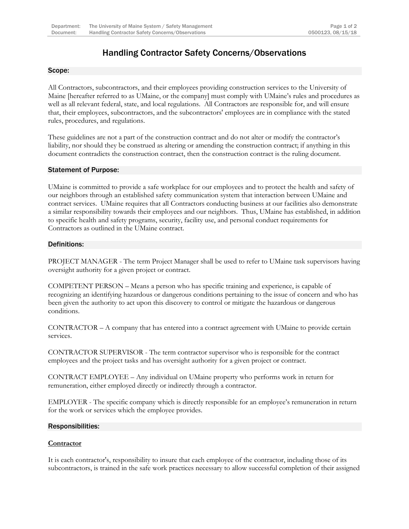# Handling Contractor Safety Concerns/Observations

#### Scope:

All Contractors, subcontractors, and their employees providing construction services to the University of Maine [hereafter referred to as UMaine, or the company] must comply with UMaine's rules and procedures as well as all relevant federal, state, and local regulations. All Contractors are responsible for, and will ensure that, their employees, subcontractors, and the subcontractors' employees are in compliance with the stated rules, procedures, and regulations.

These guidelines are not a part of the construction contract and do not alter or modify the contractor's liability, nor should they be construed as altering or amending the construction contract; if anything in this document contradicts the construction contract, then the construction contract is the ruling document.

#### Statement of Purpose:

UMaine is committed to provide a safe workplace for our employees and to protect the health and safety of our neighbors through an established safety communication system that interaction between UMaine and contract services. UMaine requires that all Contractors conducting business at our facilities also demonstrate a similar responsibility towards their employees and our neighbors. Thus, UMaine has established, in addition to specific health and safety programs, security, facility use, and personal conduct requirements for Contractors as outlined in the UMaine contract.

#### Definitions:

PROJECT MANAGER - The term Project Manager shall be used to refer to UMaine task supervisors having oversight authority for a given project or contract.

COMPETENT PERSON – Means a person who has specific training and experience, is capable of recognizing an identifying hazardous or dangerous conditions pertaining to the issue of concern and who has been given the authority to act upon this discovery to control or mitigate the hazardous or dangerous conditions.

CONTRACTOR – A company that has entered into a contract agreement with UMaine to provide certain services.

CONTRACTOR SUPERVISOR - The term contractor supervisor who is responsible for the contract employees and the project tasks and has oversight authority for a given project or contract.

CONTRACT EMPLOYEE – Any individual on UMaine property who performs work in return for remuneration, either employed directly or indirectly through a contractor.

EMPLOYER - The specific company which is directly responsible for an employee's remuneration in return for the work or services which the employee provides.

#### Responsibilities:

## **Contractor**

It is each contractor's, responsibility to insure that each employee of the contractor, including those of its subcontractors, is trained in the safe work practices necessary to allow successful completion of their assigned